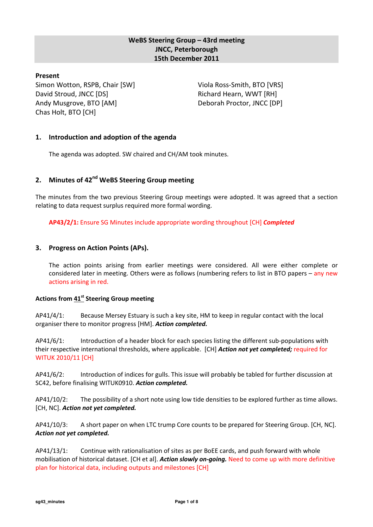# WeBS Steering Group – 43rd meeting JNCC, Peterborough 15th December 2011

## Present

Simon Wotton, RSPB, Chair [SW] David Stroud, JNCC [DS] Andy Musgrove, BTO [AM] Chas Holt, BTO [CH]

Viola Ross-Smith, BTO [VRS] Richard Hearn, WWT [RH] Deborah Proctor, JNCC [DP]

## 1. Introduction and adoption of the agenda

The agenda was adopted. SW chaired and CH/AM took minutes.

# 2. Minutes of 42<sup>nd</sup> WeBS Steering Group meeting

The minutes from the two previous Steering Group meetings were adopted. It was agreed that a section relating to data request surplus required more formal wording.

AP43/2/1: Ensure SG Minutes include appropriate wording throughout [CH] Completed

## 3. Progress on Action Points (APs).

The action points arising from earlier meetings were considered. All were either complete or considered later in meeting. Others were as follows (numbering refers to list in BTO papers – any new actions arising in red.

### Actions from 41<sup>st</sup> Steering Group meeting

AP41/4/1: Because Mersey Estuary is such a key site, HM to keep in regular contact with the local organiser there to monitor progress [HM]. Action completed.

AP41/6/1: Introduction of a header block for each species listing the different sub-populations with their respective international thresholds, where applicable. [CH] Action not yet completed; required for WITUK 2010/11 [CH]

AP41/6/2: Introduction of indices for gulls. This issue will probably be tabled for further discussion at SC42, before finalising WITUK0910. Action completed.

AP41/10/2: The possibility of a short note using low tide densities to be explored further as time allows. [CH, NC]. Action not yet completed.

AP41/10/3: A short paper on when LTC trump Core counts to be prepared for Steering Group. [CH, NC]. Action not yet completed.

AP41/13/1: Continue with rationalisation of sites as per BoEE cards, and push forward with whole mobilisation of historical dataset. [CH et al]. Action slowly on-going. Need to come up with more definitive plan for historical data, including outputs and milestones [CH]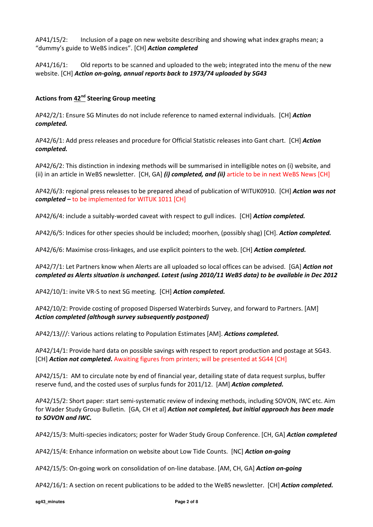AP41/15/2: Inclusion of a page on new website describing and showing what index graphs mean; a "dummy's guide to WeBS indices". [CH] Action completed

AP41/16/1: Old reports to be scanned and uploaded to the web; integrated into the menu of the new website. [CH] Action on-going, annual reports back to 1973/74 uploaded by SG43

## Actions from 42<sup>nd</sup> Steering Group meeting

AP42/2/1: Ensure SG Minutes do not include reference to named external individuals. [CH] Action completed.

AP42/6/1: Add press releases and procedure for Official Statistic releases into Gant chart. [CH] Action completed.

AP42/6/2: This distinction in indexing methods will be summarised in intelligible notes on (i) website, and (ii) in an article in WeBS newsletter. [CH, GA] (i) completed, and (ii) article to be in next WeBS News [CH]

AP42/6/3: regional press releases to be prepared ahead of publication of WITUK0910. [CH] **Action was not**  $\mathit{completed}$  – to be implemented for WITUK 1011 [CH]

AP42/6/4: include a suitably-worded caveat with respect to gull indices. [CH] Action completed.

AP42/6/5: Indices for other species should be included; moorhen, (possibly shag) [CH]. Action completed.

AP42/6/6: Maximise cross-linkages, and use explicit pointers to the web. [CH] Action completed.

AP42/7/1: Let Partners know when Alerts are all uploaded so local offices can be advised. [GA] Action not completed as Alerts situation is unchanged. Latest (using 2010/11 WeBS data) to be available in Dec 2012

AP42/10/1: invite VR-S to next SG meeting. [CH] Action completed.

AP42/10/2: Provide costing of proposed Dispersed Waterbirds Survey, and forward to Partners. [AM] Action completed (although survey subsequently postponed)

AP42/13///: Various actions relating to Population Estimates [AM]. Actions completed.

AP42/14/1: Provide hard data on possible savings with respect to report production and postage at SG43. [CH] Action not completed. Awaiting figures from printers; will be presented at SG44 [CH]

AP42/15/1: AM to circulate note by end of financial year, detailing state of data request surplus, buffer reserve fund, and the costed uses of surplus funds for 2011/12. [AM] **Action completed.** 

AP42/15/2: Short paper: start semi-systematic review of indexing methods, including SOVON, IWC etc. Aim for Wader Study Group Bulletin. [GA, CH et al] Action not completed, but initial approach has been made to SOVON and IWC.

AP42/15/3: Multi-species indicators; poster for Wader Study Group Conference. [CH, GA] Action completed

AP42/15/4: Enhance information on website about Low Tide Counts. [NC] Action on-going

AP42/15/5: On-going work on consolidation of on-line database. [AM, CH, GA] Action on-going

AP42/16/1: A section on recent publications to be added to the WeBS newsletter. [CH] Action completed.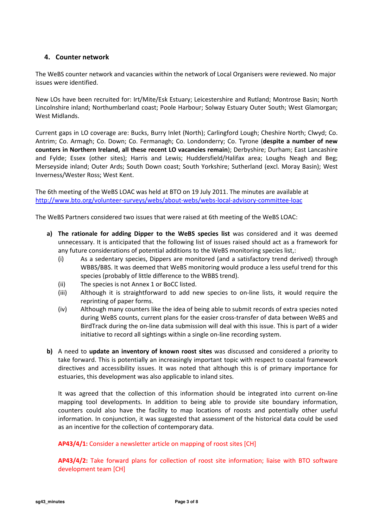# 4. Counter network

The WeBS counter network and vacancies within the network of Local Organisers were reviewed. No major issues were identified.

New LOs have been recruited for: Irt/Mite/Esk Estuary; Leicestershire and Rutland; Montrose Basin; North Lincolnshire inland; Northumberland coast; Poole Harbour; Solway Estuary Outer South; West Glamorgan; West Midlands.

Current gaps in LO coverage are: Bucks, Burry Inlet (North); Carlingford Lough; Cheshire North; Clwyd; Co. Antrim; Co. Armagh; Co. Down; Co. Fermanagh; Co. Londonderry; Co. Tyrone (despite a number of new counters in Northern Ireland, all these recent LO vacancies remain); Derbyshire; Durham; East Lancashire and Fylde; Essex (other sites); Harris and Lewis; Huddersfield/Halifax area; Loughs Neagh and Beg; Merseyside inland; Outer Ards; South Down coast; South Yorkshire; Sutherland (excl. Moray Basin); West Inverness/Wester Ross; West Kent.

The 6th meeting of the WeBS LOAC was held at BTO on 19 July 2011. The minutes are available at http://www.bto.org/volunteer-surveys/webs/about-webs/webs-local-advisory-committee-loac

The WeBS Partners considered two issues that were raised at 6th meeting of the WeBS LOAC:

- a) The rationale for adding Dipper to the WeBS species list was considered and it was deemed unnecessary. It is anticipated that the following list of issues raised should act as a framework for any future considerations of potential additions to the WeBS monitoring species list,:
	- (i) As a sedentary species, Dippers are monitored (and a satisfactory trend derived) through WBBS/BBS. It was deemed that WeBS monitoring would produce a less useful trend for this species (probably of little difference to the WBBS trend).
	- (ii) The species is not Annex 1 or BoCC listed.
	- (iii) Although it is straightforward to add new species to on-line lists, it would require the reprinting of paper forms.
	- (iv) Although many counters like the idea of being able to submit records of extra species noted during WeBS counts, current plans for the easier cross-transfer of data between WeBS and BirdTrack during the on-line data submission will deal with this issue. This is part of a wider initiative to record all sightings within a single on-line recording system.
- b) A need to update an inventory of known roost sites was discussed and considered a priority to take forward. This is potentially an increasingly important topic with respect to coastal framework directives and accessibility issues. It was noted that although this is of primary importance for estuaries, this development was also applicable to inland sites.

It was agreed that the collection of this information should be integrated into current on-line mapping tool developments. In addition to being able to provide site boundary information, counters could also have the facility to map locations of roosts and potentially other useful information. In conjunction, it was suggested that assessment of the historical data could be used as an incentive for the collection of contemporary data.

AP43/4/1: Consider a newsletter article on mapping of roost sites [CH]

AP43/4/2: Take forward plans for collection of roost site information; liaise with BTO software development team [CH]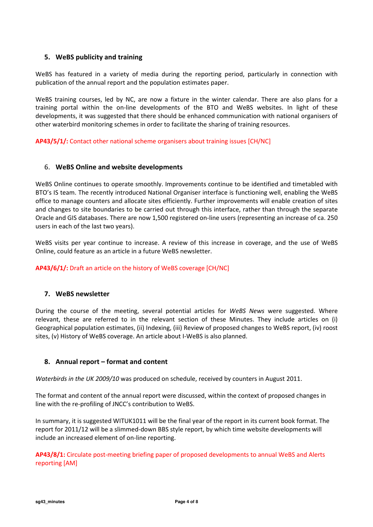# 5. WeBS publicity and training

WeBS has featured in a variety of media during the reporting period, particularly in connection with publication of the annual report and the population estimates paper.

WeBS training courses, led by NC, are now a fixture in the winter calendar. There are also plans for a training portal within the on-line developments of the BTO and WeBS websites. In light of these developments, it was suggested that there should be enhanced communication with national organisers of other waterbird monitoring schemes in order to facilitate the sharing of training resources.

## AP43/5/1/: Contact other national scheme organisers about training issues [CH/NC]

## 6. WeBS Online and website developments

WeBS Online continues to operate smoothly. Improvements continue to be identified and timetabled with BTO's IS team. The recently introduced National Organiser interface is functioning well, enabling the WeBS office to manage counters and allocate sites efficiently. Further improvements will enable creation of sites and changes to site boundaries to be carried out through this interface, rather than through the separate Oracle and GIS databases. There are now 1,500 registered on-line users (representing an increase of ca. 250 users in each of the last two years).

WeBS visits per year continue to increase. A review of this increase in coverage, and the use of WeBS Online, could feature as an article in a future WeBS newsletter.

### AP43/6/1/: Draft an article on the history of WeBS coverage [CH/NC]

### 7. WeBS newsletter

During the course of the meeting, several potential articles for WeBS News were suggested. Where relevant, these are referred to in the relevant section of these Minutes. They include articles on (i) Geographical population estimates, (ii) Indexing, (iii) Review of proposed changes to WeBS report, (iv) roost sites, (v) History of WeBS coverage. An article about I-WeBS is also planned.

## 8. Annual report – format and content

Waterbirds in the UK 2009/10 was produced on schedule, received by counters in August 2011.

The format and content of the annual report were discussed, within the context of proposed changes in line with the re-profiling of JNCC's contribution to WeBS.

In summary, it is suggested WITUK1011 will be the final year of the report in its current book format. The report for 2011/12 will be a slimmed-down BBS style report, by which time website developments will include an increased element of on-line reporting.

AP43/8/1: Circulate post-meeting briefing paper of proposed developments to annual WeBS and Alerts reporting [AM]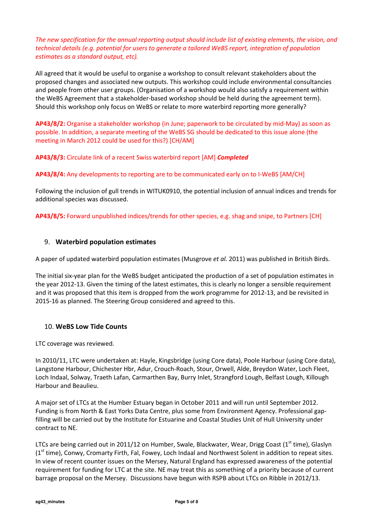The new specification for the annual reporting output should include list of existing elements, the vision, and technical details (e.g. potential for users to generate a tailored WeBS report, integration of population estimates as a standard output, etc).

All agreed that it would be useful to organise a workshop to consult relevant stakeholders about the proposed changes and associated new outputs. This workshop could include environmental consultancies and people from other user groups. (Organisation of a workshop would also satisfy a requirement within the WeBS Agreement that a stakeholder-based workshop should be held during the agreement term). Should this workshop only focus on WeBS or relate to more waterbird reporting more generally?

AP43/8/2: Organise a stakeholder workshop (in June; paperwork to be circulated by mid-May) as soon as possible. In addition, a separate meeting of the WeBS SG should be dedicated to this issue alone (the meeting in March 2012 could be used for this?) [CH/AM]

AP43/8/3: Circulate link of a recent Swiss waterbird report [AM] Completed

AP43/8/4: Any developments to reporting are to be communicated early on to I-WeBS [AM/CH]

Following the inclusion of gull trends in WITUK0910, the potential inclusion of annual indices and trends for additional species was discussed.

AP43/8/5: Forward unpublished indices/trends for other species, e.g. shag and snipe, to Partners [CH]

## 9. Waterbird population estimates

A paper of updated waterbird population estimates (Musgrove et al. 2011) was published in British Birds.

The initial six-year plan for the WeBS budget anticipated the production of a set of population estimates in the year 2012-13. Given the timing of the latest estimates, this is clearly no longer a sensible requirement and it was proposed that this item is dropped from the work programme for 2012-13, and be revisited in 2015-16 as planned. The Steering Group considered and agreed to this.

## 10. WeBS Low Tide Counts

LTC coverage was reviewed.

In 2010/11, LTC were undertaken at: Hayle, Kingsbridge (using Core data), Poole Harbour (using Core data), Langstone Harbour, Chichester Hbr, Adur, Crouch-Roach, Stour, Orwell, Alde, Breydon Water, Loch Fleet, Loch Indaal, Solway, Traeth Lafan, Carmarthen Bay, Burry Inlet, Strangford Lough, Belfast Lough, Killough Harbour and Beaulieu.

A major set of LTCs at the Humber Estuary began in October 2011 and will run until September 2012. Funding is from North & East Yorks Data Centre, plus some from Environment Agency. Professional gapfilling will be carried out by the Institute for Estuarine and Coastal Studies Unit of Hull University under contract to NE.

LTCs are being carried out in 2011/12 on Humber, Swale, Blackwater, Wear, Drigg Coast (1st time), Glaslyn (1<sup>st</sup> time), Conwy, Cromarty Firth, Fal, Fowey, Loch Indaal and Northwest Solent in addition to repeat sites. In view of recent counter issues on the Mersey, Natural England has expressed awareness of the potential requirement for funding for LTC at the site. NE may treat this as something of a priority because of current barrage proposal on the Mersey. Discussions have begun with RSPB about LTCs on Ribble in 2012/13.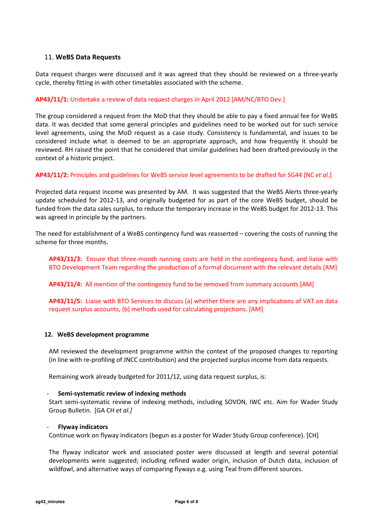## 11. WeBS Data Requests

Data request charges were discussed and it was agreed that they should be reviewed on a three-yearly cycle, thereby fitting in with other timetables associated with the scheme.

### AP43/11/1: Undertake a review of data request charges in April 2012 [AM/NC/BTO Dev.]

The group considered a request from the MoD that they should be able to pay a fixed annual fee for WeBS data. It was decided that some general principles and guidelines need to be worked out for such service level agreements, using the MoD request as a case study. Consistency is fundamental, and issues to be considered include what is deemed to be an appropriate approach, and how frequently it should be reviewed. RH raised the point that he considered that similar guidelines had been drafted previously in the context of a historic project.

### AP43/11/2: Principles and guidelines for WeBS service level agreements to be drafted for SG44 [NC et al.]

Projected data request income was presented by AM. It was suggested that the WeBS Alerts three-yearly update scheduled for 2012-13, and originally budgeted for as part of the core WeBS budget, should be funded from the data sales surplus, to reduce the temporary increase in the WeBS budget for 2012-13. This was agreed in principle by the partners.

The need for establishment of a WeBS contingency fund was reasserted – covering the costs of running the scheme for three months.

AP43/11/3: Ensure that three-month running costs are held in the contingency fund, and liaise with BTO Development Team regarding the production of a formal document with the relevant details [AM]

AP43/11/4: All mention of the contingency fund to be removed from summary accounts [AM]

AP43/11/5: Liaise with BTO Services to discuss (a) whether there are any implications of VAT on data request surplus accounts, (b) methods used for calculating projections. [AM]

### 12. WeBS development programme

AM reviewed the development programme within the context of the proposed changes to reporting (in line with re-profiling of JNCC contribution) and the projected surplus income from data requests.

Remaining work already budgeted for 2011/12, using data request surplus, is:

### Semi-systematic review of indexing methods

Start semi-systematic review of indexing methods, including SOVON, IWC etc. Aim for Wader Study Group Bulletin. [GA CH et al.]

### **Flyway indicators**

Continue work on flyway indicators (begun as a poster for Wader Study Group conference). [CH]

The flyway indicator work and associated poster were discussed at length and several potential developments were suggested; including refined wader origin, inclusion of Dutch data, inclusion of wildfowl, and alternative ways of comparing flyways e.g. using Teal from different sources.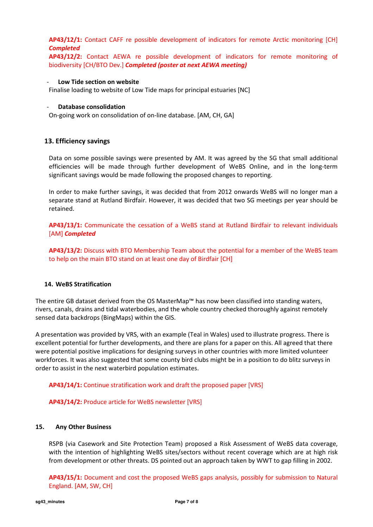AP43/12/1: Contact CAFF re possible development of indicators for remote Arctic monitoring [CH] **Completed** 

AP43/12/2: Contact AEWA re possible development of indicators for remote monitoring of biodiversity [CH/BTO Dev.] Completed (poster at next AEWA meeting)

### Low Tide section on website

Finalise loading to website of Low Tide maps for principal estuaries [NC]

### Database consolidation

On-going work on consolidation of on-line database. [AM, CH, GA]

### 13. Efficiency savings

Data on some possible savings were presented by AM. It was agreed by the SG that small additional efficiencies will be made through further development of WeBS Online, and in the long-term significant savings would be made following the proposed changes to reporting.

In order to make further savings, it was decided that from 2012 onwards WeBS will no longer man a separate stand at Rutland Birdfair. However, it was decided that two SG meetings per year should be retained.

AP43/13/1: Communicate the cessation of a WeBS stand at Rutland Birdfair to relevant individuals [AM] Completed

AP43/13/2: Discuss with BTO Membership Team about the potential for a member of the WeBS team to help on the main BTO stand on at least one day of Birdfair [CH]

### 14. WeBS Stratification

The entire GB dataset derived from the OS MasterMap™ has now been classified into standing waters, rivers, canals, drains and tidal waterbodies, and the whole country checked thoroughly against remotely sensed data backdrops (BingMaps) within the GIS.

A presentation was provided by VRS, with an example (Teal in Wales) used to illustrate progress. There is excellent potential for further developments, and there are plans for a paper on this. All agreed that there were potential positive implications for designing surveys in other countries with more limited volunteer workforces. It was also suggested that some county bird clubs might be in a position to do blitz surveys in order to assist in the next waterbird population estimates.

AP43/14/1: Continue stratification work and draft the proposed paper [VRS]

### AP43/14/2: Produce article for WeBS newsletter [VRS]

### 15. Any Other Business

RSPB (via Casework and Site Protection Team) proposed a Risk Assessment of WeBS data coverage, with the intention of highlighting WeBS sites/sectors without recent coverage which are at high risk from development or other threats. DS pointed out an approach taken by WWT to gap filling in 2002.

AP43/15/1: Document and cost the proposed WeBS gaps analysis, possibly for submission to Natural England. [AM, SW, CH]